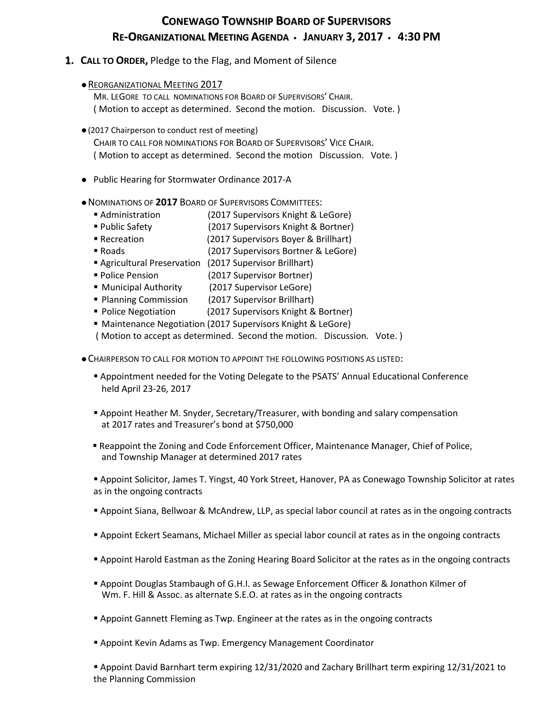# **CONEWAGO TOWNSHIP BOARD OF SUPERVISORS RE-ORGANIZATIONAL MEETING AGENDA JANUARY 3, 2017 4:30 PM**

## **1. CALL TO ORDER,** Pledge to the Flag, and Moment of Silence

**• REORGANIZATIONAL MEETING 2017** 

 MR. LEGORE TO CALL NOMINATIONS FOR BOARD OF SUPERVISORS' CHAIR. ( Motion to accept as determined. Second the motion. Discussion. Vote. )

- (2017 Chairperson to conduct rest of meeting) CHAIR TO CALL FOR NOMINATIONS FOR BOARD OF SUPERVISORS' VICE CHAIR. ( Motion to accept as determined. Second the motion Discussion. Vote. )
- Public Hearing for Stormwater Ordinance 2017-A
- NOMINATIONS OF **2017** BOARD OF SUPERVISORS COMMITTEES:
	- Administration (2017 Supervisors Knight & LeGore)
	- Public Safety (2017 Supervisors Knight & Bortner)
	- Recreation (2017 Supervisors Boyer & Brillhart)
	- Roads (2017 Supervisors Bortner & LeGore)
	- Agricultural Preservation (2017 Supervisor Brillhart)
	- Police Pension (2017 Supervisor Bortner)
	- **Municipal Authority** (2017 Supervisor LeGore)
	- **Planning Commission** (2017 Supervisor Brillhart)
	- Police Negotiation (2017 Supervisors Knight & Bortner)
	- Maintenance Negotiation (2017 Supervisors Knight & LeGore)

( Motion to accept as determined. Second the motion. Discussion. Vote. )

CHAIRPERSON TO CALL FOR MOTION TO APPOINT THE FOLLOWING POSITIONS AS LISTED:

- Appointment needed for the Voting Delegate to the PSATS' Annual Educational Conference held April 23-26, 2017
- Appoint Heather M. Snyder, Secretary/Treasurer, with bonding and salary compensation at 2017 rates and Treasurer's bond at \$750,000
- Reappoint the Zoning and Code Enforcement Officer, Maintenance Manager, Chief of Police, and Township Manager at determined 2017 rates

 Appoint Solicitor, James T. Yingst, 40 York Street, Hanover, PA as Conewago Township Solicitor at rates as in the ongoing contracts

- Appoint Siana, Bellwoar & McAndrew, LLP, as special labor council at rates as in the ongoing contracts
- Appoint Eckert Seamans, Michael Miller as special labor council at rates as in the ongoing contracts
- Appoint Harold Eastman as the Zoning Hearing Board Solicitor at the rates as in the ongoing contracts
- Appoint Douglas Stambaugh of G.H.I. as Sewage Enforcement Officer & Jonathon Kilmer of Wm. F. Hill & Assoc. as alternate S.E.O. at rates as in the ongoing contracts
- **Appoint Gannett Fleming as Twp. Engineer at the rates as in the ongoing contracts**
- Appoint Kevin Adams as Twp. Emergency Management Coordinator

 Appoint David Barnhart term expiring 12/31/2020 and Zachary Brillhart term expiring 12/31/2021 to the Planning Commission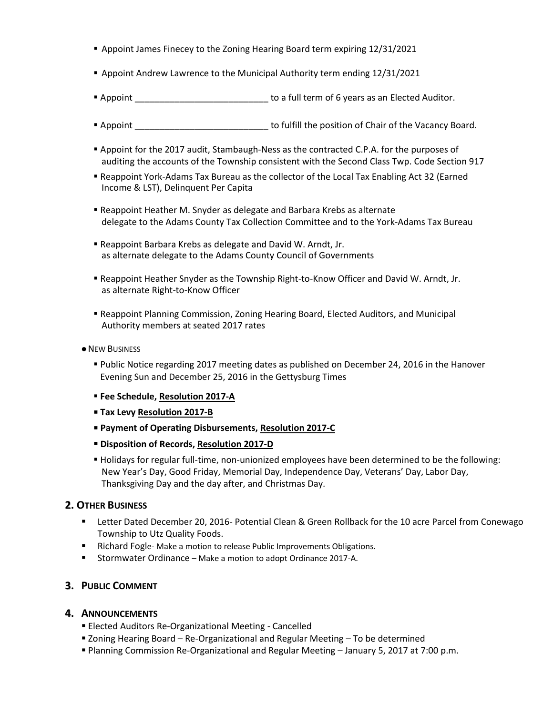- Appoint James Finecey to the Zoning Hearing Board term expiring 12/31/2021
- **Appoint Andrew Lawrence to the Municipal Authority term ending 12/31/2021**
- Appoint \_\_\_\_\_\_\_\_\_\_\_\_\_\_\_\_\_\_\_\_\_\_\_\_\_\_\_\_\_\_\_\_ to a full term of 6 years as an Elected Auditor.
- **Appoint** Appoint **All accords** to fulfill the position of Chair of the Vacancy Board.
- **Appoint for the 2017 audit, Stambaugh-Ness as the contracted C.P.A. for the purposes of** auditing the accounts of the Township consistent with the Second Class Twp. Code Section 917
- Reappoint York-Adams Tax Bureau as the collector of the Local Tax Enabling Act 32 (Earned Income & LST), Delinquent Per Capita
- Reappoint Heather M. Snyder as delegate and Barbara Krebs as alternate delegate to the Adams County Tax Collection Committee and to the York-Adams Tax Bureau
- Reappoint Barbara Krebs as delegate and David W. Arndt, Jr. as alternate delegate to the Adams County Council of Governments
- Reappoint Heather Snyder as the Township Right-to-Know Officer and David W. Arndt, Jr. as alternate Right-to-Know Officer
- Reappoint Planning Commission, Zoning Hearing Board, Elected Auditors, and Municipal Authority members at seated 2017 rates
- **NEW BUSINESS** 
	- Public Notice regarding 2017 meeting dates as published on December 24, 2016 in the Hanover Evening Sun and December 25, 2016 in the Gettysburg Times
	- **Fee Schedule, Resolution 2017-A**
	- **Tax Levy Resolution 2017-B**
	- **Payment of Operating Disbursements, Resolution 2017-C**
	- **Disposition of Records, Resolution 2017-D**
	- Holidays for regular full-time, non-unionized employees have been determined to be the following: New Year's Day, Good Friday, Memorial Day, Independence Day, Veterans' Day, Labor Day, Thanksgiving Day and the day after, and Christmas Day.

#### **2. OTHER BUSINESS**

- Letter Dated December 20, 2016- Potential Clean & Green Rollback for the 10 acre Parcel from Conewago Township to Utz Quality Foods.
- **Richard Fogle- Make a motion to release Public Improvements Obligations.**
- Stormwater Ordinance Make a motion to adopt Ordinance 2017-A.

#### **3. PUBLIC COMMENT**

#### **4. ANNOUNCEMENTS**

- **Elected Auditors Re-Organizational Meeting Cancelled**
- Zoning Hearing Board Re-Organizational and Regular Meeting To be determined
- Planning Commission Re-Organizational and Regular Meeting January 5, 2017 at 7:00 p.m.